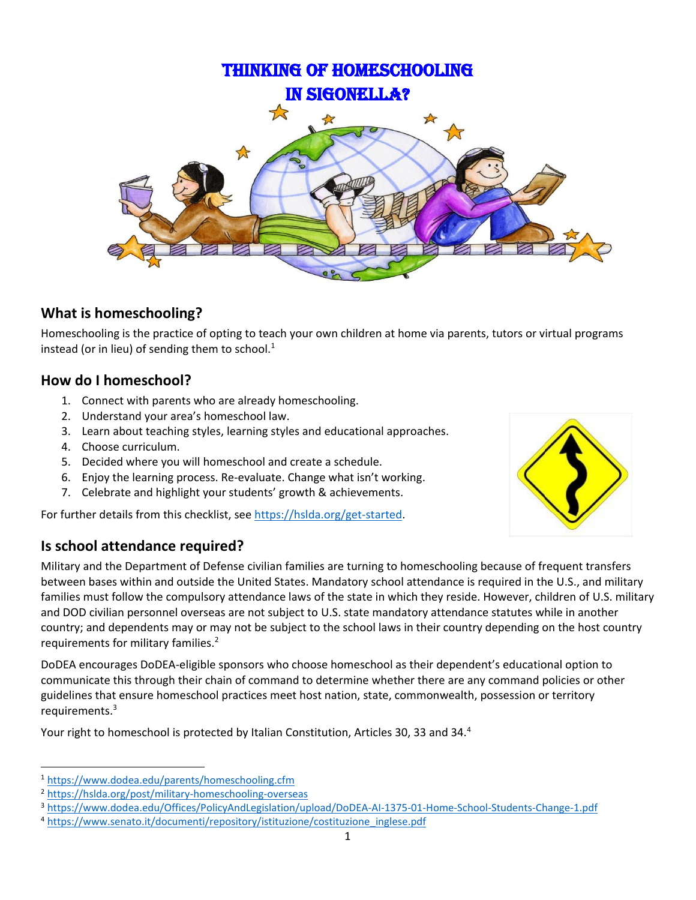

# **What is homeschooling?**

Homeschooling is the practice of opting to teach your own children at home via parents, tutors or virtual programs instead (or in lieu) of sending them to school. $<sup>1</sup>$ </sup>

# **How do I homeschool?**

- 1. Connect with parents who are already homeschooling.
- 2. Understand your area's homeschool law.
- 3. Learn about teaching styles, learning styles and educational approaches.
- 4. Choose curriculum.
- 5. Decided where you will homeschool and create a schedule.
- 6. Enjoy the learning process. Re-evaluate. Change what isn't working.
- 7. Celebrate and highlight your students' growth & achievements.

For further details from this checklist, see [https://hslda.org/get-started.](https://hslda.org/get-started)

# **Is school attendance required?**

Military and the Department of Defense civilian families are turning to homeschooling because of frequent transfers between bases within and outside the United States. Mandatory school attendance is required in the U.S., and military families must follow the compulsory attendance laws of the state in which they reside. However, children of U.S. military and DOD civilian personnel overseas are not subject to U.S. state mandatory attendance statutes while in another country; and dependents may or may not be subject to the school laws in their country depending on the host country requirements for military families.<sup>2</sup>

DoDEA encourages DoDEA-eligible sponsors who choose homeschool as their dependent's educational option to communicate this through their chain of command to determine whether there are any command policies or other guidelines that ensure homeschool practices meet host nation, state, commonwealth, possession or territory requirements.<sup>3</sup>

Your right to homeschool is protected by Italian Constitution, Articles 30, 33 and 34.4



<sup>1</sup> <https://www.dodea.edu/parents/homeschooling.cfm>

<sup>2</sup> <https://hslda.org/post/military-homeschooling-overseas>

<sup>3</sup> <https://www.dodea.edu/Offices/PolicyAndLegislation/upload/DoDEA-AI-1375-01-Home-School-Students-Change-1.pdf>

<sup>4</sup> [https://www.senato.it/documenti/repository/istituzione/costituzione\\_inglese.pdf](https://www.senato.it/documenti/repository/istituzione/costituzione_inglese.pdf)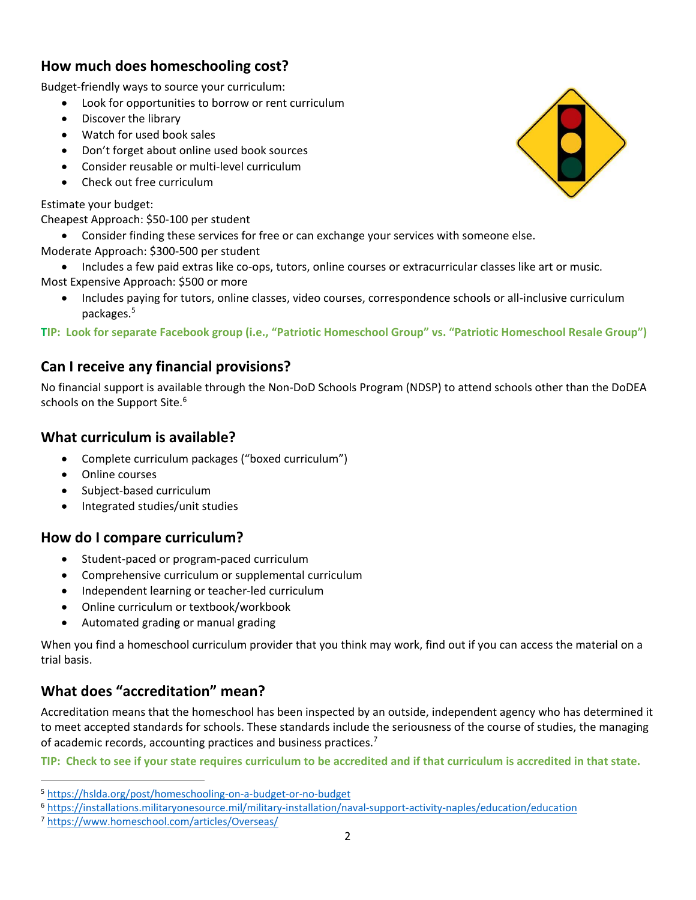## **How much does homeschooling cost?**

Budget-friendly ways to source your curriculum:

- Look for opportunities to borrow or rent curriculum
- Discover the library
- Watch for used book sales
- Don't forget about online used book sources
- Consider reusable or multi-level curriculum
- Check out free curriculum

Estimate your budget:

Cheapest Approach: \$50-100 per student

- Consider finding these services for free or can exchange your services with someone else. Moderate Approach: \$300-500 per student
- Includes a few paid extras like co-ops, tutors, online courses or extracurricular classes like art or music. Most Expensive Approach: \$500 or more
	- Includes paying for tutors, online classes, video courses, correspondence schools or all-inclusive curriculum packages.<sup>5</sup>

#### **TIP: Look for separate Facebook group (i.e., "Patriotic Homeschool Group" vs. "Patriotic Homeschool Resale Group")**

# **Can I receive any financial provisions?**

No financial support is available through the Non-DoD Schools Program (NDSP) to attend schools other than the DoDEA schools on the Support Site.<sup>6</sup>

#### **What curriculum is available?**

- Complete curriculum packages ("boxed curriculum")
- Online courses
- Subject-based curriculum
- Integrated studies/unit studies

#### **How do I compare curriculum?**

- Student-paced or program-paced curriculum
- Comprehensive curriculum or supplemental curriculum
- Independent learning or teacher-led curriculum
- Online curriculum or textbook/workbook
- Automated grading or manual grading

When you find a homeschool curriculum provider that you think may work, find out if you can access the material on a trial basis.

# **What does "accreditation" mean?**

Accreditation means that the homeschool has been inspected by an outside, independent agency who has determined it to meet accepted standards for schools. These standards include the seriousness of the course of studies, the managing of academic records, accounting practices and business practices.<sup>7</sup>

**TIP: Check to see if your state requires curriculum to be accredited and if that curriculum is accredited in that state.**



<sup>5</sup> <https://hslda.org/post/homeschooling-on-a-budget-or-no-budget>

<sup>6</sup> <https://installations.militaryonesource.mil/military-installation/naval-support-activity-naples/education/education>

<sup>7</sup> <https://www.homeschool.com/articles/Overseas/>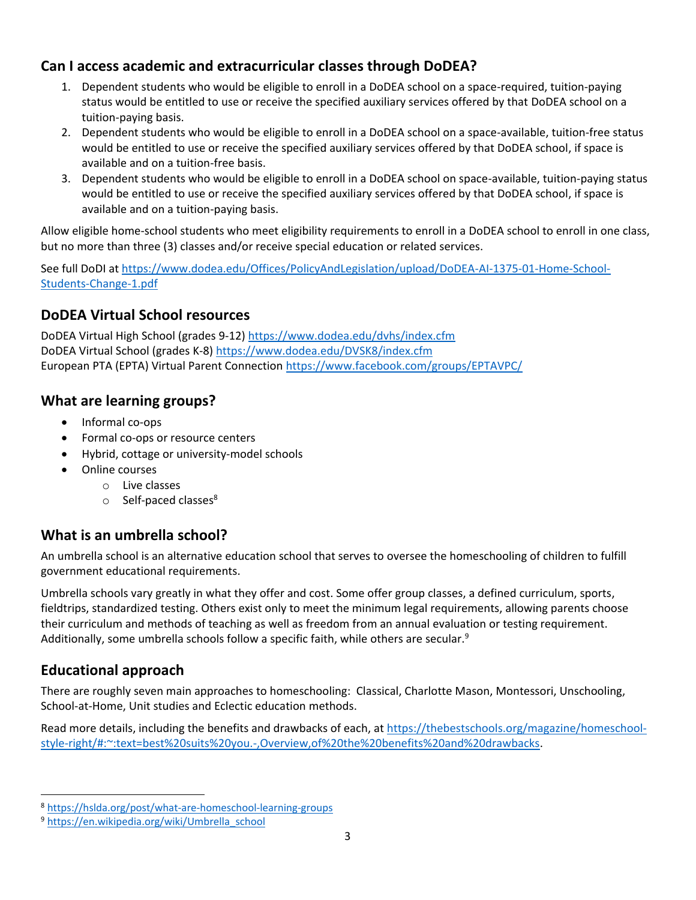## **Can I access academic and extracurricular classes through DoDEA?**

- 1. Dependent students who would be eligible to enroll in a DoDEA school on a space-required, tuition-paying status would be entitled to use or receive the specified auxiliary services offered by that DoDEA school on a tuition-paying basis.
- 2. Dependent students who would be eligible to enroll in a DoDEA school on a space-available, tuition-free status would be entitled to use or receive the specified auxiliary services offered by that DoDEA school, if space is available and on a tuition-free basis.
- 3. Dependent students who would be eligible to enroll in a DoDEA school on space-available, tuition-paying status would be entitled to use or receive the specified auxiliary services offered by that DoDEA school, if space is available and on a tuition-paying basis.

Allow eligible home-school students who meet eligibility requirements to enroll in a DoDEA school to enroll in one class, but no more than three (3) classes and/or receive special education or related services.

See full DoDI at [https://www.dodea.edu/Offices/PolicyAndLegislation/upload/DoDEA-AI-1375-01-Home-School-](https://www.dodea.edu/Offices/PolicyAndLegislation/upload/DoDEA-AI-1375-01-Home-School-Students-Change-1.pdf)[Students-Change-1.pdf](https://www.dodea.edu/Offices/PolicyAndLegislation/upload/DoDEA-AI-1375-01-Home-School-Students-Change-1.pdf)

## **DoDEA Virtual School resources**

DoDEA Virtual High School (grades 9-12)<https://www.dodea.edu/dvhs/index.cfm> DoDEA Virtual School (grades K-8)<https://www.dodea.edu/DVSK8/index.cfm> European PTA (EPTA) Virtual Parent Connection<https://www.facebook.com/groups/EPTAVPC/>

## **What are learning groups?**

- Informal co-ops
- Formal co-ops or resource centers
- Hybrid, cottage or university-model schools
- Online courses
	- o Live classes
	- $\circ$  Self-paced classes<sup>8</sup>

# **What is an umbrella school?**

An umbrella school is an alternative education school that serves to oversee the homeschooling of children to fulfill government educational requirements.

Umbrella schools vary greatly in what they offer and cost. Some offer group classes, a defined curriculum, sports, fieldtrips, standardized testing. Others exist only to meet the minimum legal requirements, allowing parents choose their curriculum and methods of teaching as well as freedom from an annual evaluation or testing requirement. Additionally, some umbrella schools follow a specific faith, while others are secular.<sup>9</sup>

# **Educational approach**

There are roughly seven main approaches to homeschooling: Classical, Charlotte Mason, Montessori, Unschooling, School-at-Home, Unit studies and Eclectic education methods.

Read more details, including the benefits and drawbacks of each, at [https://thebestschools.org/magazine/homeschool](https://thebestschools.org/magazine/homeschool-style-right/#:~:text=best%20suits%20you.-,Overview,of%20the%20benefits%20and%20drawbacks)[style-right/#:~:text=best%20suits%20you.-,Overview,of%20the%20benefits%20and%20drawbacks.](https://thebestschools.org/magazine/homeschool-style-right/#:~:text=best%20suits%20you.-,Overview,of%20the%20benefits%20and%20drawbacks)

<sup>8</sup> <https://hslda.org/post/what-are-homeschool-learning-groups>

<sup>9</sup> [https://en.wikipedia.org/wiki/Umbrella\\_school](https://en.wikipedia.org/wiki/Umbrella_school)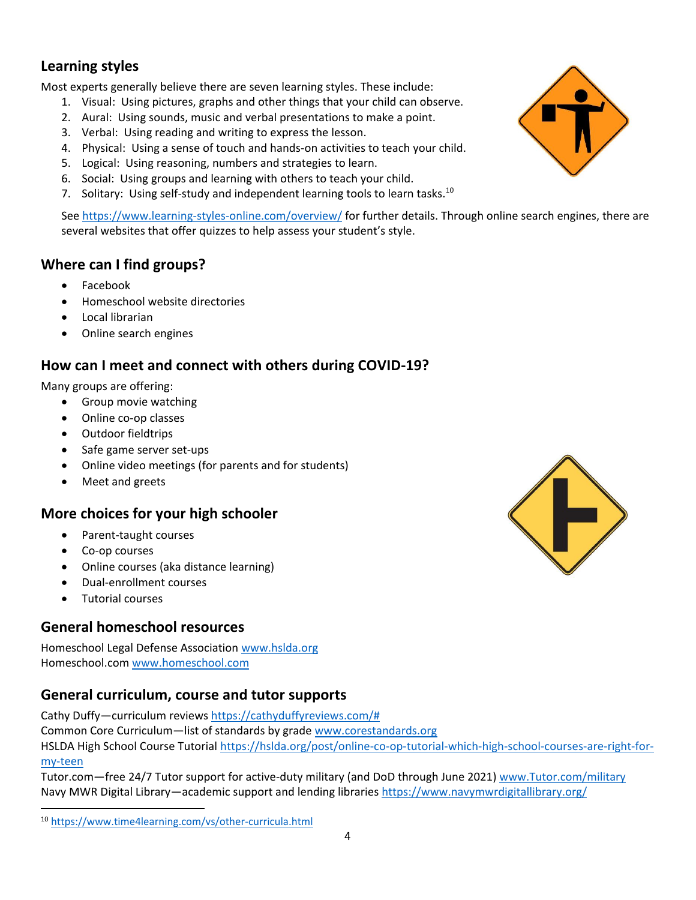# **Learning styles**

Most experts generally believe there are seven learning styles. These include:

- 1. Visual: Using pictures, graphs and other things that your child can observe.
- 2. Aural: Using sounds, music and verbal presentations to make a point.
- 3. Verbal: Using reading and writing to express the lesson.
- 4. Physical: Using a sense of touch and hands-on activities to teach your child.
- 5. Logical: Using reasoning, numbers and strategies to learn.
- 6. Social: Using groups and learning with others to teach your child.
- 7. Solitary: Using self-study and independent learning tools to learn tasks.<sup>10</sup>

See<https://www.learning-styles-online.com/overview/> for further details. Through online search engines, there are several websites that offer quizzes to help assess your student's style.

## **Where can I find groups?**

- Facebook
- Homeschool website directories
- Local librarian
- Online search engines

## **How can I meet and connect with others during COVID-19?**

Many groups are offering:

- Group movie watching
- Online co-op classes
- Outdoor fieldtrips
- Safe game server set-ups
- Online video meetings (for parents and for students)
- Meet and greets

#### **More choices for your high schooler**

- Parent-taught courses
- Co-op courses
- Online courses (aka distance learning)
- Dual-enrollment courses
- Tutorial courses

#### **General homeschool resources**

Homeschool Legal Defense Association [www.hslda.org](http://www.hslda.org/) Homeschool.com [www.homeschool.com](http://www.homeschool.com/)

#### **General curriculum, course and tutor supports**

Cathy Duffy—curriculum reviews [https://cathyduffyreviews.com/#](https://cathyduffyreviews.com/)

Common Core Curriculum—list of standards by grade [www.corestandards.org](http://www.corestandards.org/)

HSLDA High School Course Tutorial [https://hslda.org/post/online-co-op-tutorial-which-high-school-courses-are-right-for](https://hslda.org/post/online-co-op-tutorial-which-high-school-courses-are-right-for-my-teen)[my-teen](https://hslda.org/post/online-co-op-tutorial-which-high-school-courses-are-right-for-my-teen)

Tutor.com—free 24/7 Tutor support for active-duty military (and DoD through June 2021) [www.Tutor.com/military](http://www.tutor.com/military) Navy MWR Digital Library-academic support and lending libraries<https://www.navymwrdigitallibrary.org/>





<sup>10</sup> <https://www.time4learning.com/vs/other-curricula.html>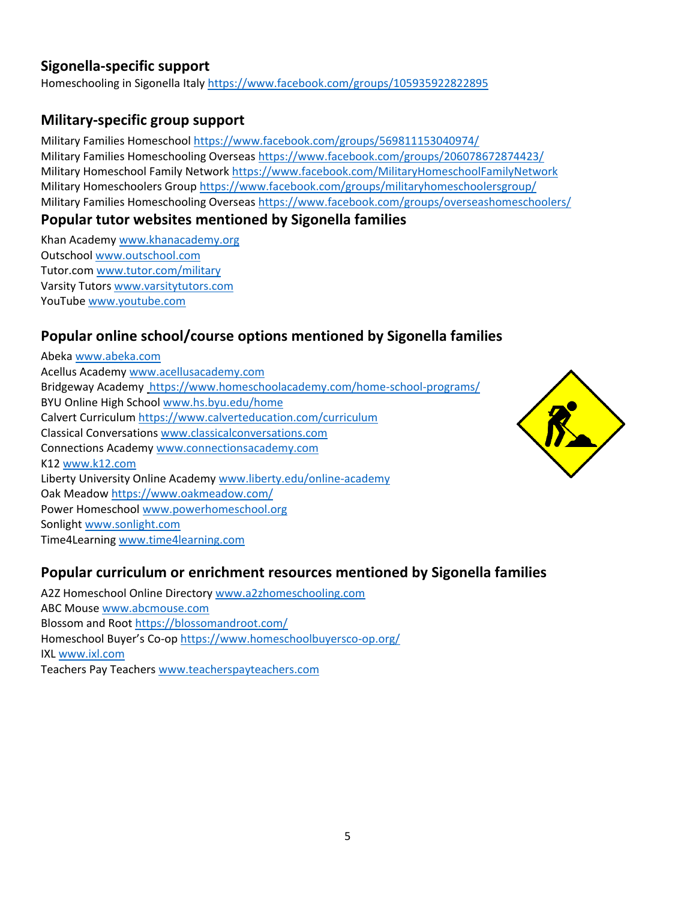# **Sigonella-specific support**

Homeschooling in Sigonella Italy<https://www.facebook.com/groups/105935922822895>

## **Military-specific group support**

Military Families Homeschool<https://www.facebook.com/groups/569811153040974/> Military Families Homeschooling Overseas<https://www.facebook.com/groups/206078672874423/> Military Homeschool Family Network<https://www.facebook.com/MilitaryHomeschoolFamilyNetwork> Military Homeschoolers Grou[p https://www.facebook.com/groups/militaryhomeschoolersgroup/](https://www.facebook.com/groups/militaryhomeschoolersgroup/) Military Families Homeschooling Overseas<https://www.facebook.com/groups/overseashomeschoolers/>

#### **Popular tutor websites mentioned by Sigonella families**

Khan Academy [www.khanacademy.org](http://www.khanacademy.org/) Outschool [www.outschool.com](http://www.outschool.com/) Tutor.com [www.tutor.com/military](http://www.tutor.com/military) Varsity Tutors [www.varsitytutors.com](http://www.varsitytutors.com/) YouTube [www.youtube.com](http://www.youtube.com/)

# **Popular online school/course options mentioned by Sigonella families**

Abeka [www.abeka.com](http://www.abeka.com/) Acellus Academy [www.acellusacademy.com](http://www.acellusacademy.com/) Bridgeway Academy <https://www.homeschoolacademy.com/home-school-programs/> BYU Online High Schoo[l www.hs.byu.edu/home](http://www.hs.byu.edu/home) Calvert Curriculum<https://www.calverteducation.com/curriculum> Classical Conversation[s www.classicalconversations.com](http://www.classicalconversations.com/) Connections Academ[y www.connectionsacademy.com](http://www.connectionsacademy.com/) K12 [www.k12.com](http://www.k12.com/) Liberty University Online Academ[y www.liberty.edu/online-academy](http://www.liberty.edu/online-academy) Oak Meadow<https://www.oakmeadow.com/> Power Homeschool [www.powerhomeschool.org](http://www.powerhomeschool.org/) Sonlight [www.sonlight.com](http://www.sonlight.com/) Time4Learnin[g www.time4learning.com](http://www.time4learning.com/)

# **Popular curriculum or enrichment resources mentioned by Sigonella families**

A2Z Homeschool Online Director[y www.a2zhomeschooling.com](http://www.a2zhomeschooling.com/) ABC Mouse [www.abcmouse.com](http://www.abcmouse.com/) Blossom and Root<https://blossomandroot.com/> Homeschool Buyer's Co-op<https://www.homeschoolbuyersco-op.org/> IX[L www.ixl.com](http://www.ixl.com/) Teachers Pay Teacher[s www.teacherspayteachers.com](http://www.teacherspayteachers.com/)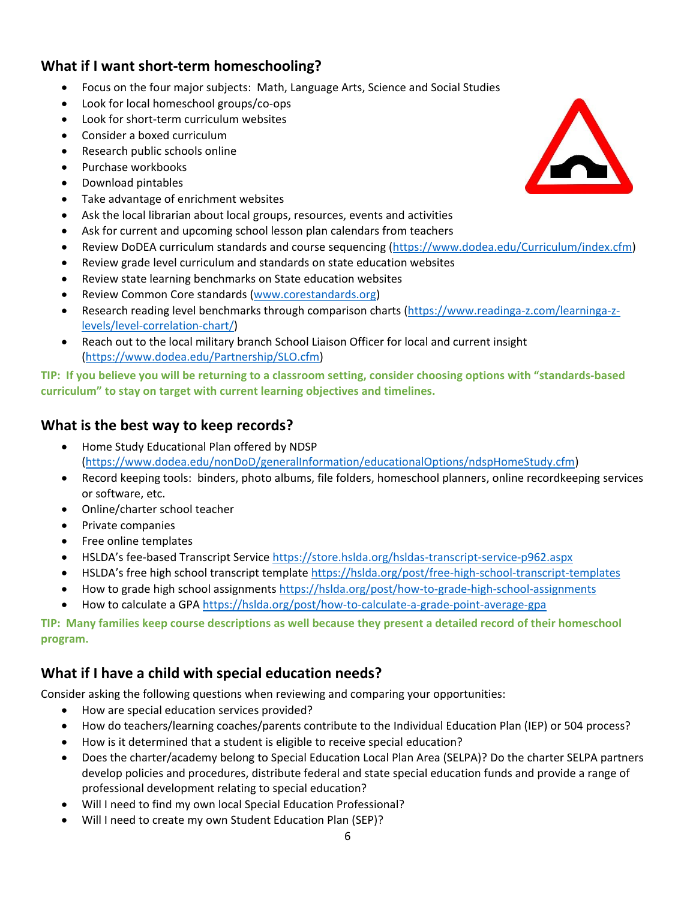# **What if I want short-term homeschooling?**

- Focus on the four major subjects: Math, Language Arts, Science and Social Studies
- Look for local homeschool groups/co-ops
- Look for short-term curriculum websites
- Consider a boxed curriculum
- Research public schools online
- Purchase workbooks
- Download pintables
- Take advantage of enrichment websites
- Ask the local librarian about local groups, resources, events and activities
- Ask for current and upcoming school lesson plan calendars from teachers
- Review DoDEA curriculum standards and course sequencing [\(https://www.dodea.edu/Curriculum/index.cfm\)](https://www.dodea.edu/Curriculum/index.cfm)
- Review grade level curriculum and standards on state education websites
- Review state learning benchmarks on State education websites
- Review Common Core standards [\(www.corestandards.org\)](http://www.corestandards.org/)
- Research reading level benchmarks through comparison charts [\(https://www.readinga-z.com/learninga-z](https://www.readinga-z.com/learninga-z-levels/level-correlation-chart/)[levels/level-correlation-chart/\)](https://www.readinga-z.com/learninga-z-levels/level-correlation-chart/)
- Reach out to the local military branch School Liaison Officer for local and current insight [\(https://www.dodea.edu/Partnership/SLO.cfm\)](https://www.dodea.edu/Partnership/SLO.cfm)

**TIP: If you believe you will be returning to a classroom setting, consider choosing options with "standards-based curriculum" to stay on target with current learning objectives and timelines.**

#### **What is the best way to keep records?**

- Home Study Educational Plan offered by NDSP [\(https://www.dodea.edu/nonDoD/generalInformation/educationalOptions/ndspHomeStudy.cfm\)](https://www.dodea.edu/nonDoD/generalInformation/educationalOptions/ndspHomeStudy.cfm)
- Record keeping tools: binders, photo albums, file folders, homeschool planners, online recordkeeping services or software, etc.
- Online/charter school teacher
- Private companies
- Free online templates
- HSLDA's fee-based Transcript Service<https://store.hslda.org/hsldas-transcript-service-p962.aspx>
- HSLDA's free high school transcript template<https://hslda.org/post/free-high-school-transcript-templates>
- How to grade high school assignments<https://hslda.org/post/how-to-grade-high-school-assignments>
- How to calculate a GPA<https://hslda.org/post/how-to-calculate-a-grade-point-average-gpa>

**TIP: Many families keep course descriptions as well because they present a detailed record of their homeschool program.**

#### **What if I have a child with special education needs?**

Consider asking the following questions when reviewing and comparing your opportunities:

- How are special education services provided?
- How do teachers/learning coaches/parents contribute to the Individual Education Plan (IEP) or 504 process?
- How is it determined that a student is eligible to receive special education?
- Does the charter/academy belong to Special Education Local Plan Area (SELPA)? Do the charter SELPA partners develop policies and procedures, distribute federal and state special education funds and provide a range of professional development relating to special education?
- Will I need to find my own local Special Education Professional?
- Will I need to create my own Student Education Plan (SEP)?